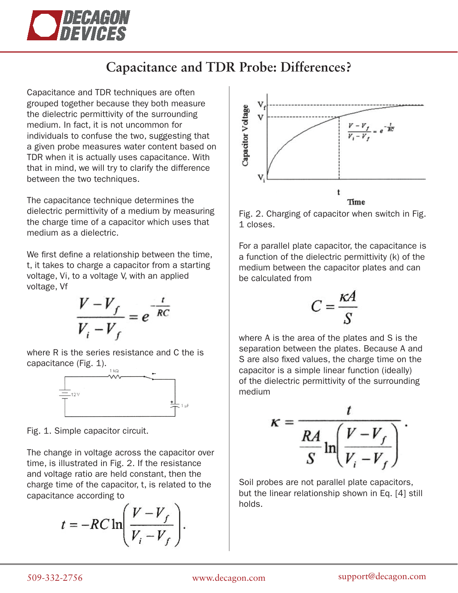

## **Capacitance and TDR Probe: Differences?**

Capacitance and TDR techniques are often grouped together because they both measure the dielectric permittivity of the surrounding medium. In fact, it is not uncommon for individuals to confuse the two, suggesting that a given probe measures water content based on TDR when it is actually uses capacitance. With that in mind, we will try to clarify the difference between the two techniques.

The capacitance technique determines the dielectric permittivity of a medium by measuring the charge time of a capacitor which uses that medium as a dielectric.

We first define a relationship between the time, t, it takes to charge a capacitor from a starting voltage, Vi, to a voltage V, with an applied voltage, Vf

$$
\frac{V-V_f}{V_i-V_f} = e^{-\frac{t}{RC}}
$$

where R is the series resistance and C the is capacitance (Fig. 1).



Fig. 1. Simple capacitor circuit.

The change in voltage across the capacitor over time, is illustrated in Fig. 2. If the resistance and voltage ratio are held constant, then the charge time of the capacitor, t, is related to the capacitance according to

$$
t = -RC \ln \left( \frac{V - V_f}{V_i - V_f} \right).
$$



Fig. 2. Charging of capacitor when switch in Fig. 1 closes.

For a parallel plate capacitor, the capacitance is a function of the dielectric permittivity (k) of the medium between the capacitor plates and can be calculated from

$$
C=\frac{\kappa A}{S}
$$

where A is the area of the plates and S is the separation between the plates. Because A and S are also fixed values, the charge time on the capacitor is a simple linear function (ideally) of the dielectric permittivity of the surrounding medium

$$
\kappa = \frac{t}{\frac{RA}{S} \ln \left( \frac{V - V_f}{V_i - V_f} \right)}.
$$

Soil probes are not parallel plate capacitors, but the linear relationship shown in Eq. [4] still holds.